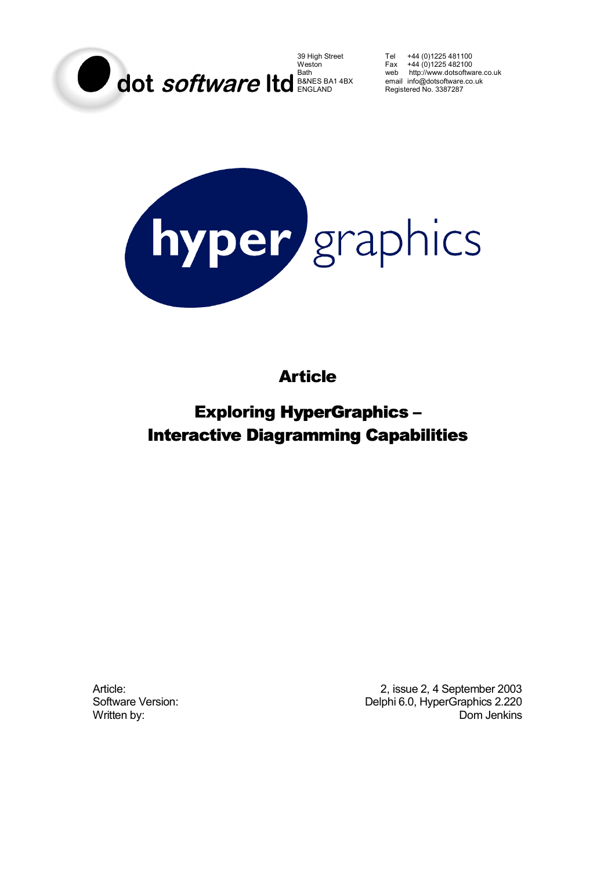

39 High Street Tel +44 (0)1225 481100 Weston Fax +44 (0)1225 482100 Bath web http://www.dotsoftware.co.uk Registered No. 3387287



Article

Exploring HyperGraphics – Interactive Diagramming Capabilities

Article: 2003<br>
2, issue 2, 4 September 2003<br>
2, Delphi 6.0. HyperGraphics 2.220 Delphi 6.0, HyperGraphics 2.220 Written by: Dom Jenkins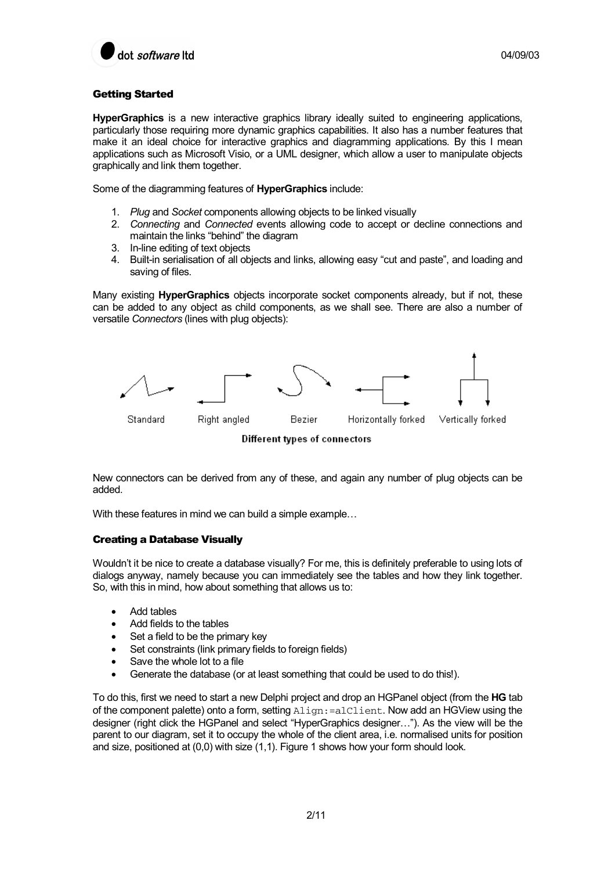

# Getting Started

**HyperGraphics** is a new interactive graphics library ideally suited to engineering applications, particularly those requiring more dynamic graphics capabilities. It also has a number features that make it an ideal choice for interactive graphics and diagramming applications. By this I mean applications such as Microsoft Visio, or a UML designer, which allow a user to manipulate objects graphically and link them together.

Some of the diagramming features of **HyperGraphics** include:

- 1. *Plug* and *Socket* components allowing objects to be linked visually
- 2. *Connecting* and *Connected* events allowing code to accept or decline connections and maintain the links "behind" the diagram
- 3. In-line editing of text objects
- 4. Built-in serialisation of all objects and links, allowing easy "cut and paste", and loading and saving of files.

Many existing **HyperGraphics** objects incorporate socket components already, but if not, these can be added to any object as child components, as we shall see. There are also a number of versatile *Connectors* (lines with plug objects):



Different types of connectors

New connectors can be derived from any of these, and again any number of plug objects can be added.

With these features in mind we can build a simple example...

## Creating a Database Visually

Wouldn't it be nice to create a database visually? For me, this is definitely preferable to using lots of dialogs anyway, namely because you can immediately see the tables and how they link together. So, with this in mind, how about something that allows us to:

- Add tables
- Add fields to the tables
- Set a field to be the primary key
- Set constraints (link primary fields to foreign fields)
- Save the whole lot to a file
- Generate the database (or at least something that could be used to do this!).

To do this, first we need to start a new Delphi project and drop an HGPanel object (from the **HG** tab of the component palette) onto a form, setting  $\Delta$ lign: =alClient. Now add an HGView using the designer (right click the HGPanel and select "HyperGraphics designer…"). As the view will be the parent to our diagram, set it to occupy the whole of the client area, i.e. normalised units for position and size, positioned at (0,0) with size (1,1). Figure 1 shows how your form should look.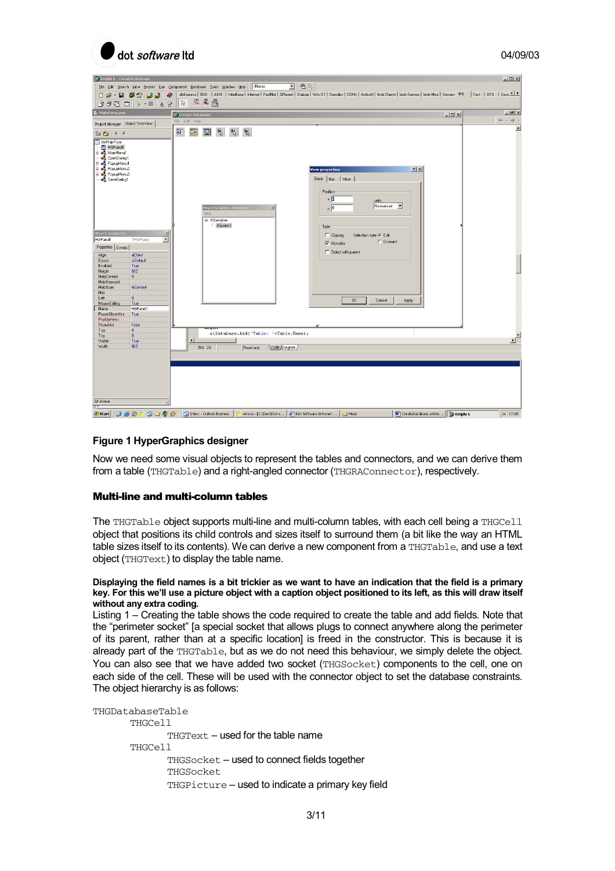

| O Delphi 6 - CreateDatabase                                                                                                                                                                                                                                                                                                                                                                                                                                                                                                                                                                                                                                 |                                                                                                                                                                                                    |                                                                         |                                                                                                                      |                                                                                                             |                                           |                         | $-10 \times$                    |
|-------------------------------------------------------------------------------------------------------------------------------------------------------------------------------------------------------------------------------------------------------------------------------------------------------------------------------------------------------------------------------------------------------------------------------------------------------------------------------------------------------------------------------------------------------------------------------------------------------------------------------------------------------------|----------------------------------------------------------------------------------------------------------------------------------------------------------------------------------------------------|-------------------------------------------------------------------------|----------------------------------------------------------------------------------------------------------------------|-------------------------------------------------------------------------------------------------------------|-------------------------------------------|-------------------------|---------------------------------|
| Eile Edit Search View Project Run Component Database Tools Window Help   <none></none>                                                                                                                                                                                                                                                                                                                                                                                                                                                                                                                                                                      | dbExpress   BDE   ADD   InterBase   Internet   FastNet   OReport   Dialogs   Win 3.1   Samples   COM+   ActiveX   Indu Clients   Indu Servers   Indu Misc   Servers   HG   Test   DFS   Sour 1   1 |                                                                         | 电图<br>$\overline{\phantom{a}}$                                                                                       |                                                                                                             |                                           |                         |                                 |
| <b>DE-BIOSIBE</b><br>◉                                                                                                                                                                                                                                                                                                                                                                                                                                                                                                                                                                                                                                      | 热凝器<br>$\mathcal{C}$                                                                                                                                                                               |                                                                         |                                                                                                                      |                                                                                                             |                                           |                         |                                 |
| MainForm.pas                                                                                                                                                                                                                                                                                                                                                                                                                                                                                                                                                                                                                                                | <b>Create Database</b>                                                                                                                                                                             |                                                                         |                                                                                                                      |                                                                                                             |                                           | $  \mathbb{Z}$ $\times$ | $-17x$                          |
|                                                                                                                                                                                                                                                                                                                                                                                                                                                                                                                                                                                                                                                             | File Edit Help                                                                                                                                                                                     |                                                                         |                                                                                                                      |                                                                                                             |                                           |                         | $\leftarrow$ $ \rightarrow$ $-$ |
| 图 右 十 →                                                                                                                                                                                                                                                                                                                                                                                                                                                                                                                                                                                                                                                     | $\tilde{\P}$<br>$\frac{1}{2}$<br>Ţ.<br>圓<br>B                                                                                                                                                      | $\frac{d\mathbf{r}}{d\mathbf{r}}$                                       |                                                                                                                      |                                                                                                             |                                           |                         | $\blacktriangle$                |
| mMainForm<br>HGPanel1<br>MainMenu1<br>DpenDialog1<br><b>E</b> by PopupMenu1<br>PopupMenu2<br>≐-s<br>PopupMenu3<br>SaveDialog1<br><b>Object Inspector</b><br>싀<br>$\overline{\phantom{a}}$<br>HGPanel1<br>THGPanel<br>Properties Events<br>alClient<br>Align<br>Curson<br>crDefault<br>Enabled<br>True<br>602<br>Height<br>HelpContext<br>$\overline{0}$<br>HelpKeyword<br><b>htContext</b><br>HelpType<br>Hint<br>$\overline{0}$<br>Left<br>MouseE diting<br>True<br>HGP <sub>anel1</sub><br>Name<br>ParentShowHint<br>True<br>PopUpMenu<br>ShowHint<br>False<br>$\overline{\mathbf{0}}$<br>Tag<br>$\overline{0}$<br>Top<br>Visible<br>True<br>862<br>Width | <b>HyperGraphics Design</b><br>Help<br>E-HGwindow<br>- HGview1<br>$\left  \right $<br>258: 23                                                                                                      | ×<br>slDatabase.Add('Table: '+Table.Name);<br>Code Diagram<br>Read only | <b>View properties</b><br>Basic Box   View<br>Position<br>׌<br>y 0<br>Style<br>$\Gamma$ Clipping<br>$\nabla$ Movable | units<br>Normalised<br>Selection style <sup>®</sup> Edit<br>C Dormant<br>Select with parent<br>OK<br>Cancel | ? X <br>$\overline{\phantom{a}}$<br>Apply |                         | ΣΓ                              |
| All shown<br>T                                                                                                                                                                                                                                                                                                                                                                                                                                                                                                                                                                                                                                              |                                                                                                                                                                                                    |                                                                         |                                                                                                                      |                                                                                                             |                                           |                         |                                 |
| 00000000<br><b>Start</b>                                                                                                                                                                                                                                                                                                                                                                                                                                                                                                                                                                                                                                    | Inbox - Outlook Express                                                                                                                                                                            | wineys - [C:\Dom\Dot s                                                  | Dot Software Intranet -                                                                                              | <sup>2</sup> Music                                                                                          | M CreateDatabase article Do Delphi 6      |                         | (4 17:45)                       |

## **Figure 1 HyperGraphics designer**

Now we need some visual objects to represent the tables and connectors, and we can derive them from a table (THGTable) and a right-angled connector (THGRAConnector), respectively.

## Multi-line and multi-column tables

The THGTable object supports multi-line and multi-column tables, with each cell being a THGCell object that positions its child controls and sizes itself to surround them (a bit like the way an HTML table sizes itself to its contents). We can derive a new component from a THGTable, and use a text object (THGText) to display the table name.

### **Displaying the field names is a bit trickier as we want to have an indication that the field is a primary key. For this we'll use a picture object with a caption object positioned to its left, as this will draw itself without any extra coding.**

Listing 1 – Creating the table shows the code required to create the table and add fields. Note that the "perimeter socket" [a special socket that allows plugs to connect anywhere along the perimeter of its parent, rather than at a specific location] is freed in the constructor. This is because it is already part of the THGTable, but as we do not need this behaviour, we simply delete the object. You can also see that we have added two socket (THGSocket) components to the cell, one on each side of the cell. These will be used with the connector object to set the database constraints. The object hierarchy is as follows:

```
THGDatabaseTable 
        THGCell 
                 THGText – used for the table name 
        THGCell 
                 THGSocket – used to connect fields together 
                 THGSocket 
                 THGPicture – used to indicate a primary key field
```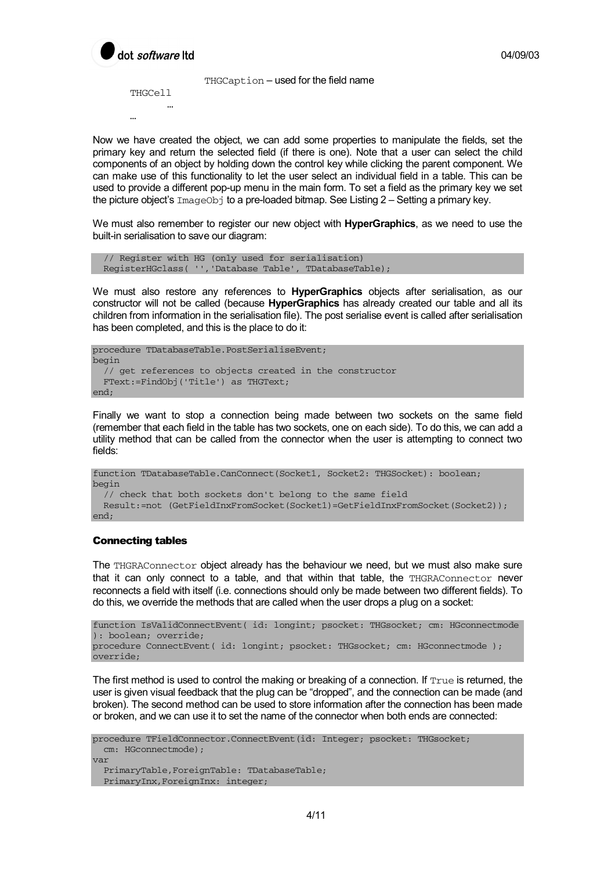

THGCaption – used for the field name

THGCell … …

Now we have created the object, we can add some properties to manipulate the fields, set the primary key and return the selected field (if there is one). Note that a user can select the child components of an object by holding down the control key while clicking the parent component. We can make use of this functionality to let the user select an individual field in a table. This can be used to provide a different pop-up menu in the main form. To set a field as the primary key we set the picture object's ImageObj to a pre-loaded bitmap. See Listing 2 – Setting a primary key.

We must also remember to register our new object with **HyperGraphics**, as we need to use the built-in serialisation to save our diagram:

```
 // Register with HG (only used for serialisation) 
 RegisterHGclass( '','Database Table', TDatabaseTable);
```
We must also restore any references to **HyperGraphics** objects after serialisation, as our constructor will not be called (because **HyperGraphics** has already created our table and all its children from information in the serialisation file). The post serialise event is called after serialisation has been completed, and this is the place to do it:

```
procedure TDatabaseTable.PostSerialiseEvent; 
begin 
   // get references to objects created in the constructor 
   FText:=FindObj('Title') as THGText; 
end;
```
Finally we want to stop a connection being made between two sockets on the same field (remember that each field in the table has two sockets, one on each side). To do this, we can add a utility method that can be called from the connector when the user is attempting to connect two fields:

```
function TDatabaseTable.CanConnect(Socket1, Socket2: THGSocket): boolean; 
begin 
   // check that both sockets don't belong to the same field 
   Result:=not (GetFieldInxFromSocket(Socket1)=GetFieldInxFromSocket(Socket2)); 
end;
```
### Connecting tables

The THGRAConnector object already has the behaviour we need, but we must also make sure that it can only connect to a table, and that within that table, the THGRAConnector never reconnects a field with itself (i.e. connections should only be made between two different fields). To do this, we override the methods that are called when the user drops a plug on a socket:

```
function IsValidConnectEvent( id: longint; psocket: THGsocket; cm: HGconnectmode 
): boolean; override; 
procedure ConnectEvent( id: longint; psocket: THGsocket; cm: HGconnectmode ); 
override;
```
The first method is used to control the making or breaking of a connection. If  $_{\text{True}}$  is returned, the user is given visual feedback that the plug can be "dropped", and the connection can be made (and broken). The second method can be used to store information after the connection has been made or broken, and we can use it to set the name of the connector when both ends are connected:

```
procedure TFieldConnector.ConnectEvent(id: Integer; psocket: THGsocket; 
  cm: HGconnectmode); 
var 
   PrimaryTable,ForeignTable: TDatabaseTable; 
   PrimaryInx,ForeignInx: integer;
```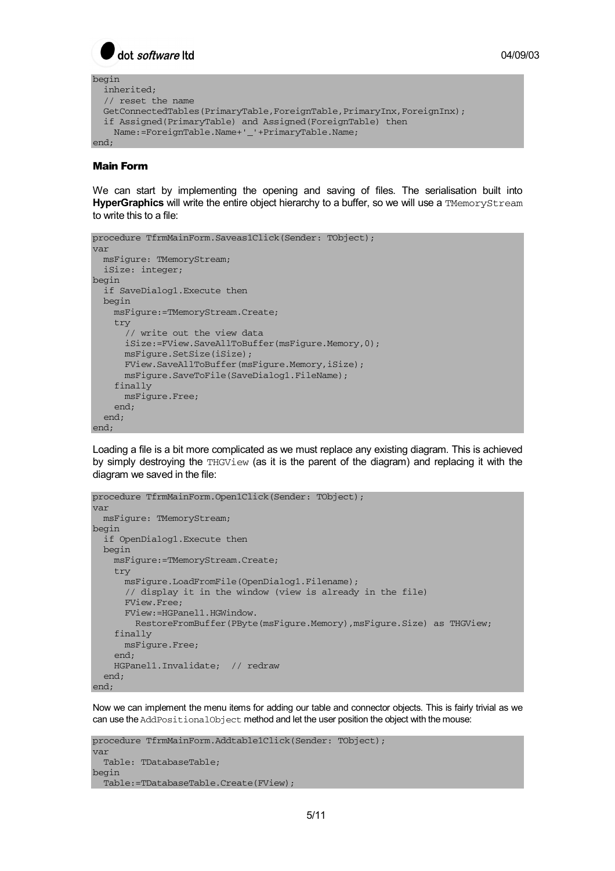$\int$  dot *software* Itd

```
begin 
   inherited; 
   // reset the name 
   GetConnectedTables(PrimaryTable,ForeignTable,PrimaryInx,ForeignInx); 
   if Assigned(PrimaryTable) and Assigned(ForeignTable) then 
     Name:=ForeignTable.Name+'_'+PrimaryTable.Name; 
end;
```
### Main Form

We can start by implementing the opening and saving of files. The serialisation built into **HyperGraphics** will write the entire object hierarchy to a buffer, so we will use a TMemoryStream to write this to a file:

```
procedure TfrmMainForm.Saveas1Click(Sender: TObject); 
var 
  msFigure: TMemoryStream; 
   iSize: integer; 
begin 
   if SaveDialog1.Execute then 
   begin 
     msFigure:=TMemoryStream.Create; 
     try 
       // write out the view data 
       iSize:=FView.SaveAllToBuffer(msFigure.Memory,0); 
       msFigure.SetSize(iSize); 
       FView.SaveAllToBuffer(msFigure.Memory,iSize); 
       msFigure.SaveToFile(SaveDialog1.FileName); 
     finally 
      msFigure.Free; 
     end; 
   end; 
end \cdot
```
Loading a file is a bit more complicated as we must replace any existing diagram. This is achieved by simply destroying the THGView (as it is the parent of the diagram) and replacing it with the diagram we saved in the file:

```
procedure TfrmMainForm.Open1Click(Sender: TObject); 
var 
  msFigure: TMemoryStream; 
begin 
   if OpenDialog1.Execute then 
   begin 
     msFigure:=TMemoryStream.Create; 
     try 
       msFigure.LoadFromFile(OpenDialog1.Filename); 
       // display it in the window (view is already in the file) 
       FView.Free; 
       FView:=HGPanel1.HGWindow. 
         RestoreFromBuffer(PByte(msFigure.Memory),msFigure.Size) as THGView; 
     finally 
       msFigure.Free; 
    end \cdot HGPanel1.Invalidate; // redraw 
   end; 
end;
```
Now we can implement the menu items for adding our table and connector objects. This is fairly trivial as we can use the AddPositionalObject method and let the user position the object with the mouse:

```
procedure TfrmMainForm.Addtable1Click(Sender: TObject); 
var 
   Table: TDatabaseTable; 
begin 
  Table:=TDatabaseTable.Create(FView);
```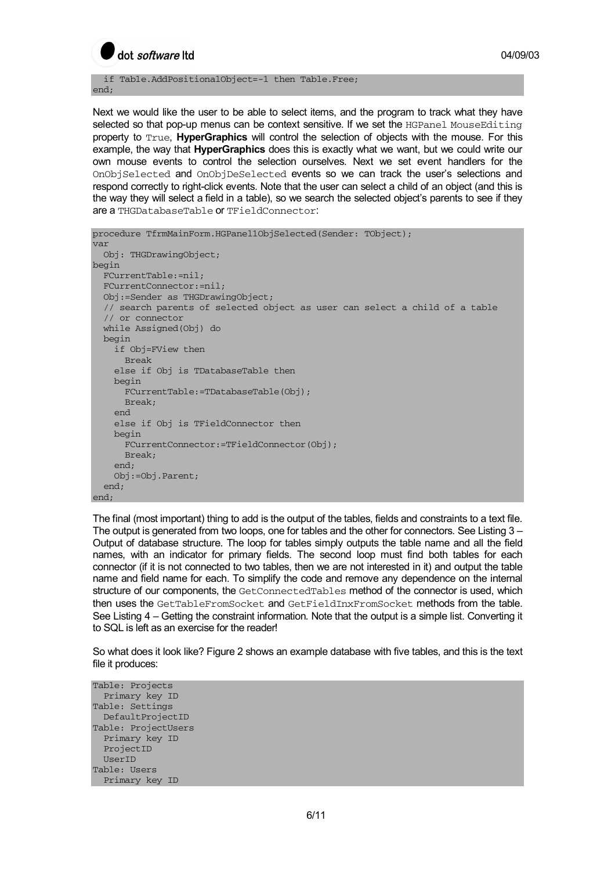

 if Table.AddPositionalObject=-1 then Table.Free; end;

Next we would like the user to be able to select items, and the program to track what they have selected so that pop-up menus can be context sensitive. If we set the HGPanel MouseEditing property to True, **HyperGraphics** will control the selection of objects with the mouse. For this example, the way that **HyperGraphics** does this is exactly what we want, but we could write our own mouse events to control the selection ourselves. Next we set event handlers for the OnObjSelected and OnObjDeSelected events so we can track the user's selections and respond correctly to right-click events. Note that the user can select a child of an object (and this is the way they will select a field in a table), so we search the selected object's parents to see if they are a THGDatabaseTable or TFieldConnector:

```
procedure TfrmMainForm.HGPanel1ObjSelected(Sender: TObject); 
var 
  Obj: THGDrawingObject; 
begin 
  FCurrentTable:=nil; 
   FCurrentConnector:=nil; 
   Obj:=Sender as THGDrawingObject; 
   // search parents of selected object as user can select a child of a table 
   // or connector 
   while Assigned(Obj) do 
   begin 
     if Obj=FView then 
       Break 
     else if Obj is TDatabaseTable then 
     begin 
       FCurrentTable:=TDatabaseTable(Obj); 
       Break; 
     end 
     else if Obj is TFieldConnector then 
     begin 
       FCurrentConnector:=TFieldConnector(Obj); 
       Break; 
     end; 
     Obj:=Obj.Parent; 
   end; 
end;
```
The final (most important) thing to add is the output of the tables, fields and constraints to a text file. The output is generated from two loops, one for tables and the other for connectors. See Listing 3 – Output of database structure. The loop for tables simply outputs the table name and all the field names, with an indicator for primary fields. The second loop must find both tables for each connector (if it is not connected to two tables, then we are not interested in it) and output the table name and field name for each. To simplify the code and remove any dependence on the internal structure of our components, the GetConnectedTables method of the connector is used, which then uses the GetTableFromSocket and GetFieldInxFromSocket methods from the table. See Listing 4 – Getting the constraint information. Note that the output is a simple list. Converting it to SQL is left as an exercise for the reader!

So what does it look like? Figure 2 shows an example database with five tables, and this is the text file it produces:

Table: Projects Primary key ID Table: Settings DefaultProjectID Table: ProjectUsers Primary key ID ProjectID UserID Table: Users Primary key ID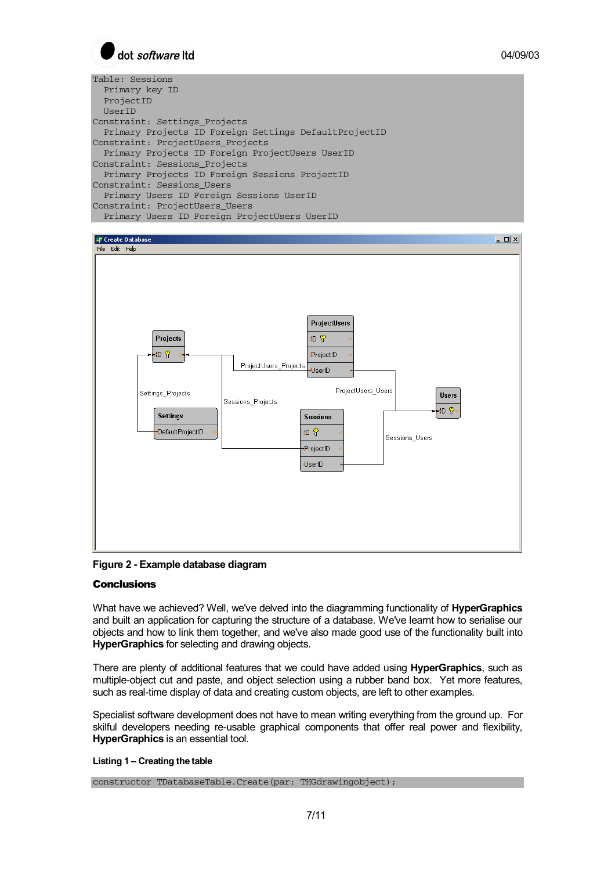

Table: Sessions Primary key ID ProjectID UserID Constraint: Settings\_Projects Primary Projects ID Foreign Settings DefaultProjectID Constraint: ProjectUsers\_Projects Primary Projects ID Foreign ProjectUsers UserID Constraint: Sessions\_Projects Primary Projects ID Foreign Sessions ProjectID Constraint: Sessions\_Users Primary Users ID Foreign Sessions UserID Constraint: ProjectUsers\_Users Primary Users ID Foreign ProjectUsers UserID





## **Conclusions**

What have we achieved? Well, we've delved into the diagramming functionality of **HyperGraphics** and built an application for capturing the structure of a database. We've learnt how to serialise our objects and how to link them together, and we've also made good use of the functionality built into **HyperGraphics** for selecting and drawing objects.

There are plenty of additional features that we could have added using **HyperGraphics**, such as multiple-object cut and paste, and object selection using a rubber band box. Yet more features, such as real-time display of data and creating custom objects, are left to other examples.

Specialist software development does not have to mean writing everything from the ground up. For skilful developers needing re-usable graphical components that offer real power and flexibility, **HyperGraphics** is an essential tool.

#### **Listing 1 – Creating the table**

constructor TDatabaseTable.Create(par: THGdrawingobject);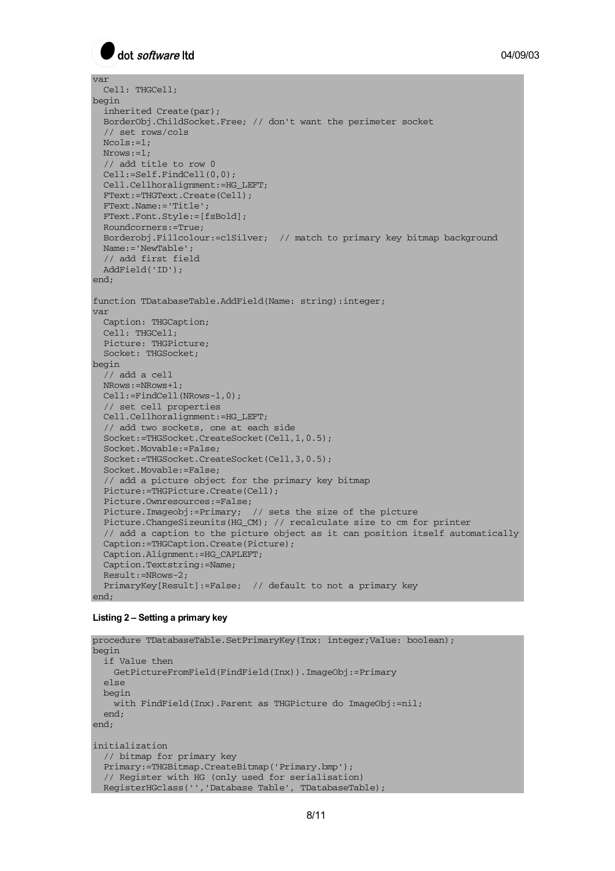

```
var 
  Cell: THGCell; 
begin 
  inherited Create(par); 
   BorderObj.ChildSocket.Free; // don't want the perimeter socket 
   // set rows/cols 
   Ncols:=1; 
   Nrows:=1; 
   // add title to row 0 
   Cell:=Self.FindCell(0,0); 
   Cell.Cellhoralignment:=HG_LEFT; 
  FText:=THGText.Create(Cell); 
  FText.Name:='Title'; 
  FText.Font.Style:=[fsBold]; 
  Roundcorners:=True; 
   Borderobj.Fillcolour:=clSilver; // match to primary key bitmap background 
  Name:='NewTable'; 
  // add first field 
  AddField('ID'); 
end; 
function TDatabaseTable.AddField(Name: string):integer; 
var 
  Caption: THGCaption; 
  Cell: THGCell; 
  Picture: THGPicture; 
  Socket: THGSocket; 
begin 
  // add a cell 
   NRows:=NRows+1; 
  Cell:=FindCell(NRows-1,0); 
   // set cell properties 
  Cell.Cellhoralignment:=HG_LEFT; 
   // add two sockets, one at each side 
   Socket:=THGSocket.CreateSocket(Cell,1,0.5); 
   Socket.Movable:=False; 
   Socket:=THGSocket.CreateSocket(Cell,3,0.5); 
   Socket.Movable:=False; 
   // add a picture object for the primary key bitmap 
   Picture:=THGPicture.Create(Cell); 
   Picture.Ownresources:=False; 
   Picture.Imageobj:=Primary; // sets the size of the picture 
   Picture.ChangeSizeunits(HG_CM); // recalculate size to cm for printer 
   // add a caption to the picture object as it can position itself automatically 
   Caption:=THGCaption.Create(Picture); 
   Caption.Alignment:=HG_CAPLEFT; 
  Caption.Textstring:=Name; 
   Result:=NRows-2; 
   PrimaryKey[Result]:=False; // default to not a primary key 
end;
```
#### **Listing 2 – Setting a primary key**

```
procedure TDatabaseTable.SetPrimaryKey(Inx: integer;Value: boolean);
begin 
   if Value then 
    GetPictureFromField(FindField(Inx)).ImageObj:=Primary 
   else 
  begin 
     with FindField(Inx).Parent as THGPicture do ImageObj:=nil; 
   end; 
end; 
initialization 
   // bitmap for primary key 
   Primary:=THGBitmap.CreateBitmap('Primary.bmp'); 
   // Register with HG (only used for serialisation) 
  RegisterHGclass('','Database Table', TDatabaseTable);
```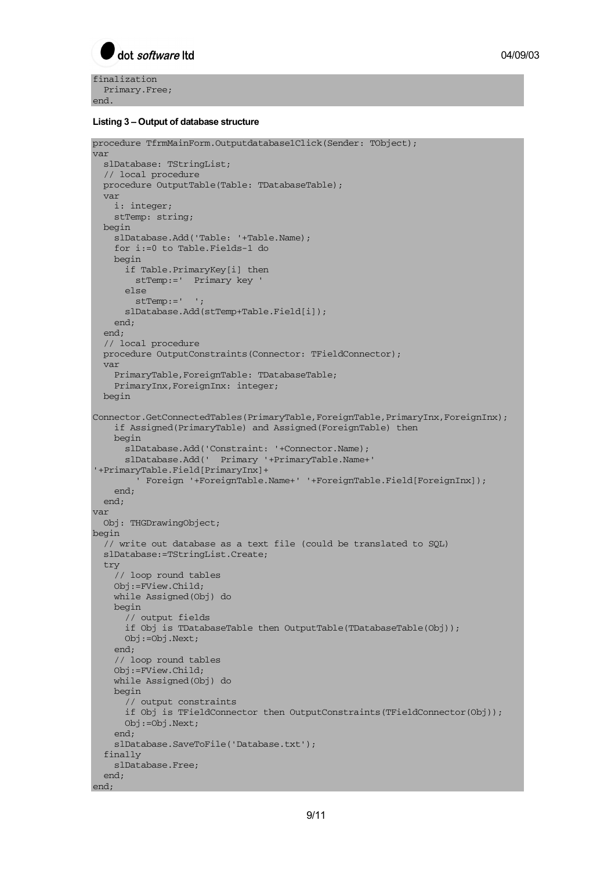

finalization Primary.Free; end.

#### **Listing 3 – Output of database structure**

```
procedure TfrmMainForm.Outputdatabase1Click(Sender: TObject); 
var 
  slDatabase: TStringList; 
   // local procedure 
   procedure OutputTable(Table: TDatabaseTable); 
   var 
     i: integer; 
    stTemp: string; 
   begin 
     slDatabase.Add('Table: '+Table.Name); 
     for i:=0 to Table.Fields-1 do 
     begin 
       if Table.PrimaryKey[i] then 
         stTemp:=' Primary key ' 
       else 
        stTemp := ' ' slDatabase.Add(stTemp+Table.Field[i]); 
     end; 
   end; 
   // local procedure 
   procedure OutputConstraints(Connector: TFieldConnector); 
   var 
     PrimaryTable,ForeignTable: TDatabaseTable; 
     PrimaryInx,ForeignInx: integer; 
   begin 
Connector.GetConnectedTables(PrimaryTable,ForeignTable,PrimaryInx,ForeignInx);
     if Assigned(PrimaryTable) and Assigned(ForeignTable) then 
     begin 
       slDatabase.Add('Constraint: '+Connector.Name); 
       slDatabase.Add(' Primary '+PrimaryTable.Name+' 
'+PrimaryTable.Field[PrimaryInx]+ 
         ' Foreign '+ForeignTable.Name+' '+ForeignTable.Field[ForeignInx]); 
     end; 
   end; 
var 
   Obj: THGDrawingObject; 
begin 
   // write out database as a text file (could be translated to SQL) 
   slDatabase:=TStringList.Create; 
   try 
     // loop round tables 
     Obj:=FView.Child; 
     while Assigned(Obj) do 
     begin 
       // output fields 
       if Obj is TDatabaseTable then OutputTable(TDatabaseTable(Obj)); 
       Obj:=Obj.Next; 
     end; 
     // loop round tables 
     Obj:=FView.Child; 
     while Assigned(Obj) do 
     begin 
       // output constraints 
       if Obj is TFieldConnector then OutputConstraints(TFieldConnector(Obj)); 
       Obj:=Obj.Next; 
     end; 
     slDatabase.SaveToFile('Database.txt'); 
   finally 
    slDatabase.Free; 
   end; 
end;
```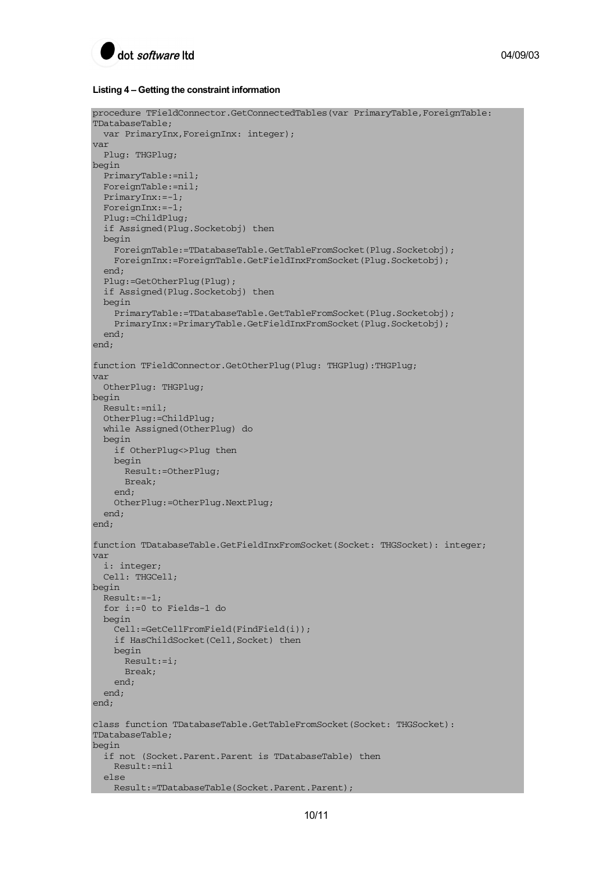

#### **Listing 4 – Getting the constraint information**

```
procedure TFieldConnector.GetConnectedTables(var PrimaryTable,ForeignTable: 
TDatabaseTable; 
  var PrimaryInx, ForeignInx: integer);
var 
  Plug: THGPlug; 
begin 
  PrimaryTable:=nil; 
   ForeignTable:=nil; 
   PrimaryInx:=-1; 
   ForeignInx:=-1; 
   Plug:=ChildPlug; 
   if Assigned(Plug.Socketobj) then 
   begin 
     ForeignTable:=TDatabaseTable.GetTableFromSocket(Plug.Socketobj); 
     ForeignInx:=ForeignTable.GetFieldInxFromSocket(Plug.Socketobj); 
  end \cdot Plug:=GetOtherPlug(Plug); 
   if Assigned(Plug.Socketobj) then 
   begin 
     PrimaryTable:=TDatabaseTable.GetTableFromSocket(Plug.Socketobj); 
     PrimaryInx:=PrimaryTable.GetFieldInxFromSocket(Plug.Socketobj); 
   end; 
end; 
function TFieldConnector.GetOtherPlug(Plug: THGPlug):THGPlug; 
var 
   OtherPlug: THGPlug; 
begin 
   Result:=nil; 
   OtherPlug:=ChildPlug; 
   while Assigned(OtherPlug) do 
   begin 
     if OtherPlug<>Plug then 
     begin 
       Result:=OtherPlug; 
       Break; 
     end; 
     OtherPlug:=OtherPlug.NextPlug; 
   end; 
end; 
function TDatabaseTable.GetFieldInxFromSocket(Socket: THGSocket): integer; 
var 
   i: integer; 
  Cell: THGCell; 
begin 
   Result:=-1; 
   for i:=0 to Fields-1 do 
   begin 
     Cell:=GetCellFromField(FindField(i)); 
     if HasChildSocket(Cell,Socket) then 
     begin 
       Result:=i; 
       Break; 
     end; 
   end; 
end; 
class function TDatabaseTable.GetTableFromSocket(Socket: THGSocket): 
TDatabaseTable; 
begin 
   if not (Socket.Parent.Parent is TDatabaseTable) then 
     Result:=nil 
   else 
    Result:=TDatabaseTable(Socket.Parent.Parent);
```